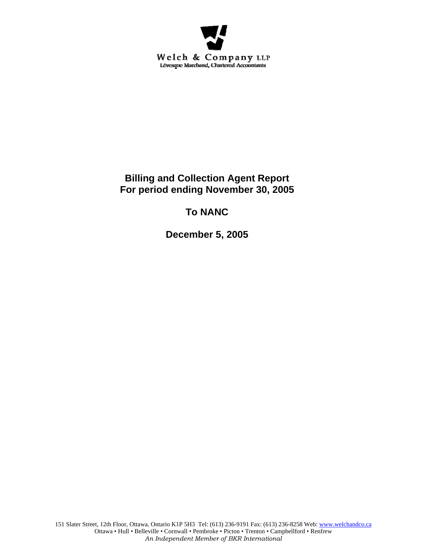

## **Billing and Collection Agent Report For period ending November 30, 2005**

# **To NANC**

**December 5, 2005**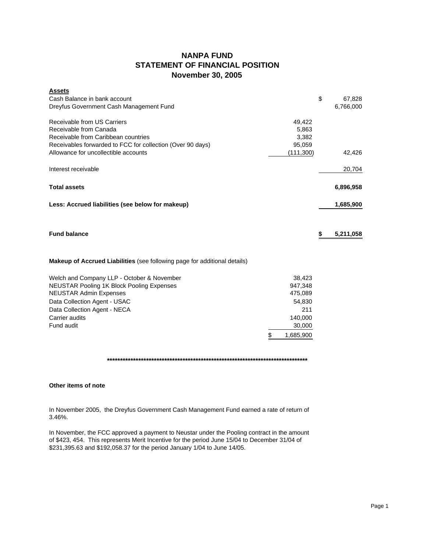### **NANPA FUND STATEMENT OF FINANCIAL POSITION November 30, 2005**

| <b>Assets</b><br>Cash Balance in bank account<br>Dreyfus Government Cash Management Fund |                 | \$<br>67,828<br>6,766,000 |
|------------------------------------------------------------------------------------------|-----------------|---------------------------|
| Receivable from US Carriers                                                              | 49,422          |                           |
| Receivable from Canada                                                                   | 5,863           |                           |
| Receivable from Caribbean countries                                                      | 3,382           |                           |
| Receivables forwarded to FCC for collection (Over 90 days)                               | 95,059          |                           |
| Allowance for uncollectible accounts                                                     | (111,300)       | 42,426                    |
| Interest receivable                                                                      |                 | 20,704                    |
| <b>Total assets</b>                                                                      |                 | 6,896,958                 |
| Less: Accrued liabilities (see below for makeup)                                         |                 | 1,685,900                 |
| <b>Fund balance</b>                                                                      |                 | \$<br>5,211,058           |
| Makeup of Accrued Liabilities (see following page for additional details)                |                 |                           |
| Welch and Company LLP - October & November                                               | 38,423          |                           |
| NEUSTAR Pooling 1K Block Pooling Expenses                                                | 947,348         |                           |
| <b>NEUSTAR Admin Expenses</b>                                                            | 475,089         |                           |
| Data Collection Agent - USAC                                                             | 54,830          |                           |
| Data Collection Agent - NECA                                                             | 211             |                           |
| Carrier audits                                                                           | 140,000         |                           |
| Fund audit                                                                               | 30,000          |                           |
|                                                                                          | \$<br>1,685,900 |                           |

**\*\*\*\*\*\*\*\*\*\*\*\*\*\*\*\*\*\*\*\*\*\*\*\*\*\*\*\*\*\*\*\*\*\*\*\*\*\*\*\*\*\*\*\*\*\*\*\*\*\*\*\*\*\*\*\*\*\*\*\*\*\*\*\*\*\*\*\*\*\*\*\*\*\*\*\*\***

### **Other items of note**

In November 2005, the Dreyfus Government Cash Management Fund earned a rate of return of 3.46%.

In November, the FCC approved a payment to Neustar under the Pooling contract in the amount of \$423, 454. This represents Merit Incentive for the period June 15/04 to December 31/04 of \$231,395.63 and \$192,058.37 for the period January 1/04 to June 14/05.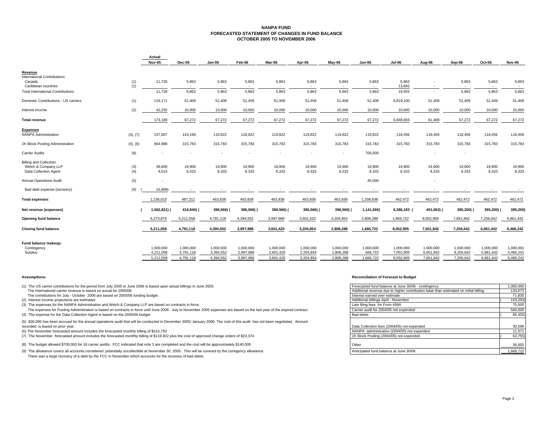#### **NANPA FUND FORECASTED STATEMENT OF CHANGES IN FUND BALANCEOCTOBER 2005 TO NOVEMBER 2006**

|                                                                 |            | Actual          |                 |                 |                 |                                   |                 |                 |                 |                  |                               |                 |                 |                                   |
|-----------------------------------------------------------------|------------|-----------------|-----------------|-----------------|-----------------|-----------------------------------|-----------------|-----------------|-----------------|------------------|-------------------------------|-----------------|-----------------|-----------------------------------|
|                                                                 |            | <b>Nov-05</b>   | Dec-05          | Jan-06          | Feb-06          | Mar-06                            | Apr-06          | May-06          | <b>Jun-06</b>   | <b>Jul-06</b>    | Aug-06                        | Sep-06          | Oct-06          | Nov-06                            |
| Revenue                                                         |            |                 |                 |                 |                 |                                   |                 |                 |                 |                  |                               |                 |                 |                                   |
| <b>International Contributions</b>                              |            |                 |                 |                 |                 |                                   |                 |                 |                 |                  |                               |                 |                 |                                   |
| Canada                                                          | (1)        | 11,726          | 5,863           | 5,863           | 5,863           | 5,863                             | 5,863           | 5,863           | 5,863           | 5,863            |                               | 5,863           | 5,863           | 5,863                             |
| Caribbean countries<br><b>Total International Contributions</b> | (1)        | 11,726          | $\sim$<br>5,863 | 5,863           | $\sim$<br>5,863 | $\overline{\phantom{a}}$<br>5,863 | ۰.<br>5,863     | 5,863           | $\sim$<br>5,863 | 13,692<br>19,555 | $\overline{\phantom{a}}$<br>٠ | 5,863           | $\sim$<br>5,863 | $\overline{\phantom{a}}$<br>5,863 |
|                                                                 |            |                 |                 |                 |                 |                                   |                 |                 |                 |                  |                               |                 |                 |                                   |
| Domestic Contributions - US carriers                            | (1)        | 119,171         | 51.409          | 51,409          | 51,409          | 51,409                            | 51,409          | 51,409          | 51,409          | 6,819,100        | 51,409                        | 51,409          | 51,409          | 51,409                            |
| Interest income                                                 | (2)        | 42,292          | 10,000          | 10,000          | 10,000          | 10,000                            | 10,000          | 10,000          | 10,000          | 10,000           | 10,000                        | 10,000          | 10,000          | 10,000                            |
| <b>Total revenue</b>                                            |            | 173,189         | 67,272          | 67,272          | 67,272          | 67,272                            | 67,272          | 67,272          | 67,272          | 6,848,655        | 61,409                        | 67,272          | 67,272          | 67,272                            |
| <b>Expenses</b>                                                 |            |                 |                 |                 |                 |                                   |                 |                 |                 |                  |                               |                 |                 |                                   |
| <b>NANPA Administration</b>                                     | (3), (7)   | 237,607         | 143,196         | 119,822         | 119,822         | 119,822                           | 119,822         | 119,822         | 119,822         | 118,456          | 118,456                       | 118,456         | 118,456         | 118,456                           |
| 1K Block Pooling Administration                                 | (3), (6)   | 964,988         | 315,783         | 315,783         | 315,783         | 315,783                           | 315,783         | 315,783         | 315,783         | 315,783          | 315,783                       | 315,783         | 315,783         | 315,783                           |
| <b>Carrier Audits</b>                                           | (8)        |                 |                 |                 |                 |                                   |                 |                 | 700,000         |                  |                               |                 |                 |                                   |
| <b>Billing and Collection</b>                                   |            |                 |                 |                 |                 |                                   |                 |                 |                 |                  |                               |                 |                 |                                   |
| Welch & Company LLP<br>Data Collection Agent                    | (3)<br>(4) | 39,800<br>9,514 | 19,900<br>8,333 | 19,900<br>8,333 | 19,900<br>8,333 | 19,900<br>8,333                   | 19,900<br>8,333 | 19,900<br>8,333 | 19,900<br>8,333 | 19,900<br>8,333  | 19,900<br>8,333               | 19,900<br>8,333 | 19,900<br>8,333 | 19,900<br>8,333                   |
| <b>Annual Operations Audit</b>                                  | (5)        |                 |                 |                 |                 |                                   |                 |                 | 45,000          |                  | ٠                             |                 |                 |                                   |
|                                                                 |            |                 |                 |                 |                 |                                   |                 |                 |                 |                  |                               |                 |                 |                                   |
| Bad debt expense (recovery)                                     | (9)        | 15.899)         |                 |                 |                 |                                   |                 |                 | . .             |                  |                               |                 |                 |                                   |
| <b>Total expenses</b>                                           |            | 1,236,010       | 487,212         | 463,838         | 463,838         | 463,838                           | 463,838         | 463,838         | 1,208,838       | 462,472          | 462,472                       | 462,472         | 462,472         | 462,472                           |
| Net revenue (expenses)                                          |            | 1,062,821) (    | 419,940)        | 396,566)        | 396,566) (      | 396,566) (                        | 396,566) (      | 396,566) (      | 1,141,566)      | 6,386,183 (      | 401,063) (                    | 395,200)        | 395,200) (      | 395,200                           |
| <b>Opening fund balance</b>                                     |            | 6,273,879       | 5,211,058       | 4,791,118       | 4,394,552       | 3,997,986                         | 3,601,420       | 3,204,854       | 2,808,288       | 1,666,722        | 8,052,905                     | 7,651,842       | 7,256,642       | 6,861,442                         |
| <b>Closing fund balance</b>                                     |            | 5,211,058       | 4,791,118       | 4,394,552       | 3,997,986       | 3,601,420                         | 3,204,854       | 2,808,288       | 1,666,722       | 8,052,905        | 7,651,842                     | 7,256,642       | 6,861,442       | 6,466,242                         |
|                                                                 |            |                 |                 |                 |                 |                                   |                 |                 |                 |                  |                               |                 |                 |                                   |
| Fund balance makeup:<br>Contingency                             |            | 1,000,000       | 1,000,000       | 1,000,000       | 1,000,000       | 1,000,000                         | 1,000,000       | 1,000,000       | 1,000,000       | 1,000,000        | 1,000,000                     | 1,000,000       | 1,000,000       | 1,000,001                         |
| Surplus                                                         |            | 4,211,058       | 3,791,118       | 3,394,552       | 2,997,986       | 2,601,420                         | 2,204,854       | 1,808,288       | 666,722         | 7,052,905        | 6,651,842                     | 6,256,642       | 5,861,442       | 5,466,241                         |
|                                                                 |            | 5,211,058       | 4,791,118       | 4,394,552       | 3,997,986       | 3,601,420                         | 3,204,854       | 2,808,288       | 1,666,722       | 8,052,905        | 7,651,842                     | 7,256,642       | 6,861,442       | 6,466,242                         |

(1) The US carrier contributions for the period from July 2005 to June 2006 is based upon actual billings in June 2005. The International carrier revenue is based on actual for 2005/06.

The contributions for July - October 2006 are based on 2005/06 funding budget.

(2) Interest income projections are estimates

(3) The expenses for the NANPA Administration and Welch & Company LLP are based on contracts in force.

The expenses for Pooling Administration is based on contracts in force until June 2006. July to November 2005 expenses are based on the last year of the expired contract. (4) The expense for the Data Collection Agent is based on the 2005/06 budget.

(5) \$30,000 has been accrued for the annual operations audit that will be conducted in December 2005/ January 2006. The cost of this audit has not been negotiated. Amount recorded is based on prior year.

(6) The November forecasted amount includes the forecasted monthly billing of \$315,793

(7) The November forecasted amount includes the forecasted monthly billing of \$119,822 plus the cost of approved change orders of \$23,374

(8) The budget allowed \$700,000 for 16 carrier audits. FCC indicated that only 3 are completed and the cost will be approximately \$140,000

(9) The allowance covers all accounts considered potentially uncollectible at November 30, 2005. This will be covered by the contigency allowance.

There was a large recovery of a debt by the FCC in November which accounts for the recovery of bad debts.

#### **Assumptions: Reconciliation of Forecast to Budget**

| ne 2006 is based upon actual billings in June 2005.                                                         | Forecasted fund balance at June 30/06 - contingency                                  | 000,000, |
|-------------------------------------------------------------------------------------------------------------|--------------------------------------------------------------------------------------|----------|
|                                                                                                             | Additional revenue due to higher contribution base than estimated on initial billing | 133,073  |
| funding budget.                                                                                             | Interest earned over estimate                                                        | 71,830   |
|                                                                                                             | Additional billings April - November                                                 | 103,293) |
| pany LLP are based on contracts in force.                                                                   | Late filing fees for Form 499A                                                       | 75,500   |
| n force until June 2006. July to November 2005 expenses are based on the last year of the expired contract. | Carrier audit for 2004/05 not expended                                               | 560,000  |
| 5/06 budget.                                                                                                | Bad debts                                                                            | 85,455)  |
| will be conducted in December 2005/ January 2006. The cost of this audit has not been negotiated. Amount    |                                                                                      |          |
|                                                                                                             | Data Collection fees (2004/05) not expended                                          | 30,596   |
| hly billing of \$315,793                                                                                    | NANPA administration (2004/05) not expended                                          | 11.571   |
| thly billing of \$119,822 plus the cost of approved change orders of \$23,374                               | 1K Block Pooling (2004/05) not expended                                              | 63,755)  |
|                                                                                                             |                                                                                      |          |
| ed that only 3 are completed and the cost will be approximately \$140,000                                   | Other                                                                                | 36,655   |
| llectible at November 30, 2005. This will be covered by the contigency allowance.                           | Anticipated fund balance at June 30/06                                               | .666.722 |